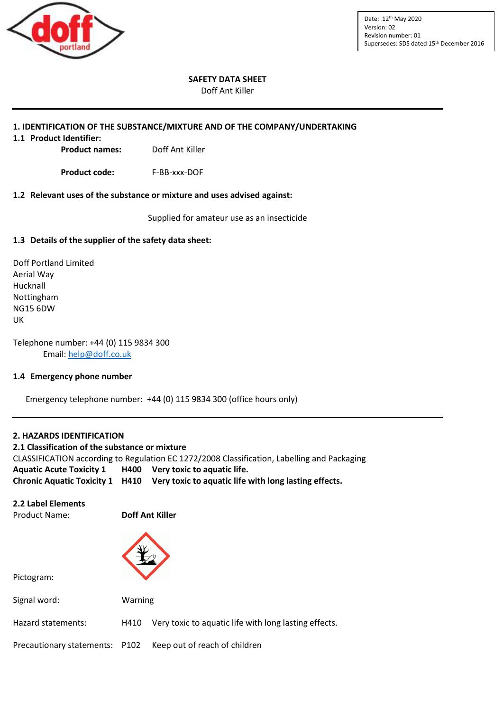

Date: 12th May 2020 Version: 02 Revision number: 01 Supersedes: SDS dated 15<sup>th</sup> December 2016

#### **SAFETY DATA SHEET**

Doff Ant Killer

#### **1. IDENTIFICATION OF THE SUBSTANCE/MIXTURE AND OF THE COMPANY/UNDERTAKING**

**1.1 Product Identifier:**

**Product names:** Doff Ant Killer

**Product code:** F-BB-xxx-DOF

#### **1.2 Relevant uses of the substance or mixture and uses advised against:**

Supplied for amateur use as an insecticide

#### **1.3 Details of the supplier of the safety data sheet:**

Doff Portland Limited Aerial Way Hucknall Nottingham NG15 6DW UK

Telephone number: +44 (0) 115 9834 300 Email: [help@doff.co.uk](mailto:help@doff.co.uk)

#### **1.4 Emergency phone number**

Emergency telephone number: +44 (0) 115 9834 300 (office hours only)

#### **2. HAZARDS IDENTIFICATION**

**2.1 Classification of the substance or mixture**  CLASSIFICATION according to Regulation EC 1272/2008 Classification, Labelling and Packaging **Aquatic Acute Toxicity 1 H400 Very toxic to aquatic life. Chronic Aquatic Toxicity 1 H410 Very toxic to aquatic life with long lasting effects.**

#### **2.2 Label Elements**

Product Name: **Doff Ant Killer**

Pictogram:



| Signal word:       | Warning |                                                              |  |
|--------------------|---------|--------------------------------------------------------------|--|
| Hazard statements: |         | H410 Very toxic to aquatic life with long lasting effects.   |  |
|                    |         | Precautionary statements: P102 Keep out of reach of children |  |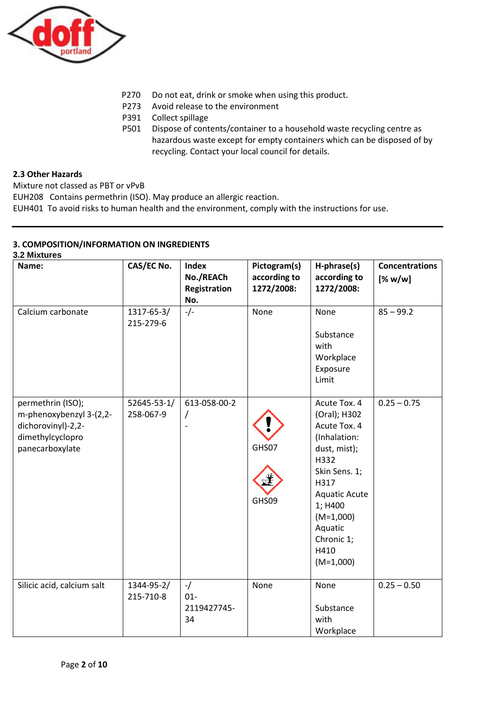

- P270 Do not eat, drink or smoke when using this product.
- P273 Avoid release to the environment
- P391 Collect spillage
- P501 Dispose of contents/container to a household waste recycling centre as hazardous waste except for empty containers which can be disposed of by recycling. Contact your local council for details.

## **2.3 Other Hazards**

Mixture not classed as PBT or vPvB

EUH208 Contains permethrin (ISO). May produce an allergic reaction.

EUH401 To avoid risks to human health and the environment, comply with the instructions for use.

# **3. COMPOSITION/INFORMATION ON INGREDIENTS**

**3.2 Mixtures**

| 3.2 MIXTUTES                                                                                              |                          |                                                         |                                            |                                                                                                                                                                                                                 |                                  |
|-----------------------------------------------------------------------------------------------------------|--------------------------|---------------------------------------------------------|--------------------------------------------|-----------------------------------------------------------------------------------------------------------------------------------------------------------------------------------------------------------------|----------------------------------|
| Name:                                                                                                     | CAS/EC No.               | <b>Index</b><br>No./REACh<br><b>Registration</b><br>No. | Pictogram(s)<br>according to<br>1272/2008: | H-phrase(s)<br>according to<br>1272/2008:                                                                                                                                                                       | <b>Concentrations</b><br>[% w/w] |
| Calcium carbonate                                                                                         | 1317-65-3/<br>215-279-6  | $-/-$                                                   | None                                       | None<br>Substance<br>with<br>Workplace<br>Exposure<br>Limit                                                                                                                                                     | $85 - 99.2$                      |
| permethrin (ISO);<br>m-phenoxybenzyl 3-(2,2-<br>dichorovinyl)-2,2-<br>dimethylcyclopro<br>panecarboxylate | 52645-53-1/<br>258-067-9 | 613-058-00-2<br>/<br>$\qquad \qquad \blacksquare$       | GHS07<br>GHS09                             | Acute Tox. 4<br>(Oral); H302<br>Acute Tox. 4<br>(Inhalation:<br>dust, mist);<br>H332<br>Skin Sens. 1;<br>H317<br><b>Aquatic Acute</b><br>1; H400<br>$(M=1,000)$<br>Aquatic<br>Chronic 1;<br>H410<br>$(M=1,000)$ | $0.25 - 0.75$                    |
| Silicic acid, calcium salt                                                                                | 1344-95-2/<br>215-710-8  | $-$ /<br>$01 -$<br>2119427745-<br>34                    | None                                       | None<br>Substance<br>with<br>Workplace                                                                                                                                                                          | $0.25 - 0.50$                    |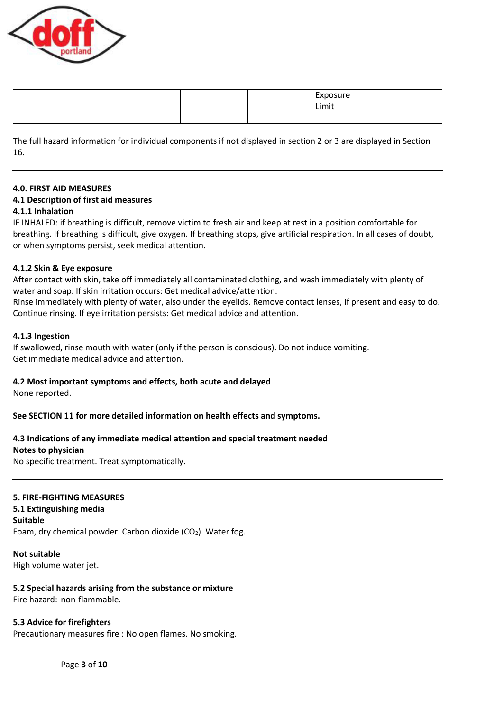

|  |  | Exposure<br>Limit |  |
|--|--|-------------------|--|
|  |  |                   |  |

The full hazard information for individual components if not displayed in section 2 or 3 are displayed in Section 16.

#### **4.0. FIRST AID MEASURES**

#### **4.1 Description of first aid measures**

#### **4.1.1 Inhalation**

IF INHALED: if breathing is difficult, remove victim to fresh air and keep at rest in a position comfortable for breathing. If breathing is difficult, give oxygen. If breathing stops, give artificial respiration. In all cases of doubt, or when symptoms persist, seek medical attention.

#### **4.1.2 Skin & Eye exposure**

After contact with skin, take off immediately all contaminated clothing, and wash immediately with plenty of water and soap. If skin irritation occurs: Get medical advice/attention.

Rinse immediately with plenty of water, also under the eyelids. Remove contact lenses, if present and easy to do. Continue rinsing. If eye irritation persists: Get medical advice and attention.

#### **4.1.3 Ingestion**

If swallowed, rinse mouth with water (only if the person is conscious). Do not induce vomiting. Get immediate medical advice and attention.

#### **4.2 Most important symptoms and effects, both acute and delayed**

None reported.

## **See SECTION 11 for more detailed information on health effects and symptoms.**

# **4.3 Indications of any immediate medical attention and special treatment needed**

#### **Notes to physician**

No specific treatment. Treat symptomatically.

## **5. FIRE-FIGHTING MEASURES**

## **5.1 Extinguishing media**

**Suitable**

Foam, dry chemical powder. Carbon dioxide  $(CO<sub>2</sub>)$ . Water fog.

**Not suitable** High volume water jet.

# **5.2 Special hazards arising from the substance or mixture**

Fire hazard: non-flammable.

## **5.3 Advice for firefighters**

Precautionary measures fire : No open flames. No smoking.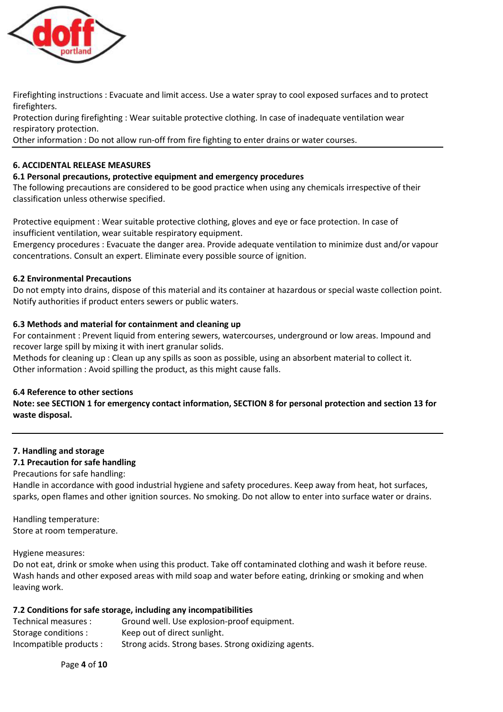

Firefighting instructions : Evacuate and limit access. Use a water spray to cool exposed surfaces and to protect firefighters.

Protection during firefighting : Wear suitable protective clothing. In case of inadequate ventilation wear respiratory protection.

Other information : Do not allow run-off from fire fighting to enter drains or water courses.

# **6. ACCIDENTAL RELEASE MEASURES**

## **6.1 Personal precautions, protective equipment and emergency procedures**

The following precautions are considered to be good practice when using any chemicals irrespective of their classification unless otherwise specified.

Protective equipment : Wear suitable protective clothing, gloves and eye or face protection. In case of insufficient ventilation, wear suitable respiratory equipment.

Emergency procedures : Evacuate the danger area. Provide adequate ventilation to minimize dust and/or vapour concentrations. Consult an expert. Eliminate every possible source of ignition.

## **6.2 Environmental Precautions**

Do not empty into drains, dispose of this material and its container at hazardous or special waste collection point. Notify authorities if product enters sewers or public waters.

# **6.3 Methods and material for containment and cleaning up**

For containment : Prevent liquid from entering sewers, watercourses, underground or low areas. Impound and recover large spill by mixing it with inert granular solids.

Methods for cleaning up : Clean up any spills as soon as possible, using an absorbent material to collect it. Other information : Avoid spilling the product, as this might cause falls.

## **6.4 Reference to other sections**

**Note: see SECTION 1 for emergency contact information, SECTION 8 for personal protection and section 13 for waste disposal.**

## **7. Handling and storage**

# **7.1 Precaution for safe handling**

Precautions for safe handling:

Handle in accordance with good industrial hygiene and safety procedures. Keep away from heat, hot surfaces, sparks, open flames and other ignition sources. No smoking. Do not allow to enter into surface water or drains.

Handling temperature: Store at room temperature.

Hygiene measures:

Do not eat, drink or smoke when using this product. Take off contaminated clothing and wash it before reuse. Wash hands and other exposed areas with mild soap and water before eating, drinking or smoking and when leaving work.

## **7.2 Conditions for safe storage, including any incompatibilities**

| Technical measures :    | Ground well. Use explosion-proof equipment.          |
|-------------------------|------------------------------------------------------|
| Storage conditions :    | Keep out of direct sunlight.                         |
| Incompatible products : | Strong acids. Strong bases. Strong oxidizing agents. |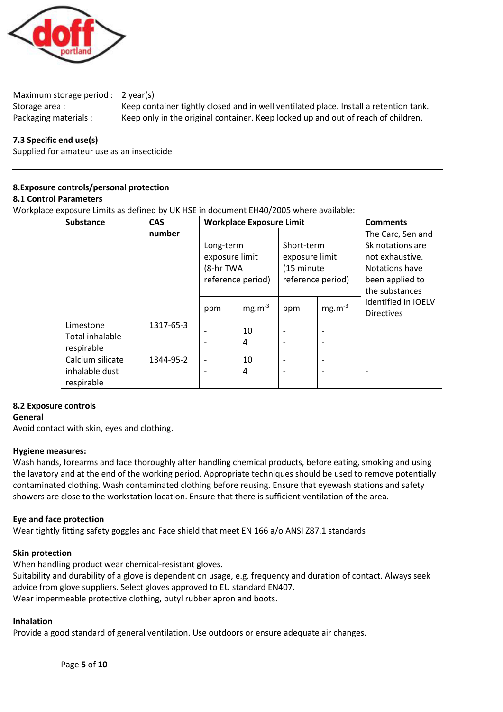

Maximum storage period : 2 year(s)

Storage area : Keep container tightly closed and in well ventilated place. Install a retention tank. Packaging materials : Keep only in the original container. Keep locked up and out of reach of children.

# **7.3 Specific end use(s)**

Supplied for amateur use as an insecticide

# **8.Exposure controls/personal protection**

## **8.1 Control Parameters**

Workplace exposure Limits as defined by UK HSE in document EH40/2005 where available:

| <b>Substance</b>       | <b>CAS</b> | <b>Workplace Exposure Limit</b> |                   |                |                   | <b>Comments</b>     |
|------------------------|------------|---------------------------------|-------------------|----------------|-------------------|---------------------|
|                        | number     |                                 |                   |                |                   | The Carc, Sen and   |
|                        |            | Long-term                       |                   | Short-term     |                   | Sk notations are    |
|                        |            | exposure limit                  |                   | exposure limit |                   | not exhaustive.     |
|                        |            | (8-hr TWA                       |                   | (15 minute     |                   | Notations have      |
|                        |            |                                 | reference period) |                | reference period) | been applied to     |
|                        |            |                                 |                   |                |                   | the substances      |
|                        |            | ppm                             | $mg.m^{-3}$       | ppm            | $mg.m^{-3}$       | identified in IOELV |
|                        |            |                                 |                   |                |                   | <b>Directives</b>   |
| Limestone              | 1317-65-3  |                                 | 10                |                |                   |                     |
| <b>Total inhalable</b> |            |                                 | 4                 |                |                   |                     |
| respirable             |            |                                 |                   |                |                   |                     |
| Calcium silicate       | 1344-95-2  | $\overline{\phantom{a}}$        | 10                |                |                   |                     |
| inhalable dust         |            |                                 | 4                 |                |                   |                     |
| respirable             |            |                                 |                   |                |                   |                     |

## **8.2 Exposure controls**

## **General**

Avoid contact with skin, eyes and clothing.

## **Hygiene measures:**

Wash hands, forearms and face thoroughly after handling chemical products, before eating, smoking and using the lavatory and at the end of the working period. Appropriate techniques should be used to remove potentially contaminated clothing. Wash contaminated clothing before reusing. Ensure that eyewash stations and safety showers are close to the workstation location. Ensure that there is sufficient ventilation of the area.

## **Eye and face protection**

Wear tightly fitting safety goggles and Face shield that meet EN 166 a/o ANSI Z87.1 standards

## **Skin protection**

When handling product wear chemical-resistant gloves.

Suitability and durability of a glove is dependent on usage, e.g. frequency and duration of contact. Always seek advice from glove suppliers. Select gloves approved to EU standard EN407. Wear impermeable protective clothing, butyl rubber apron and boots.

## **Inhalation**

Provide a good standard of general ventilation. Use outdoors or ensure adequate air changes.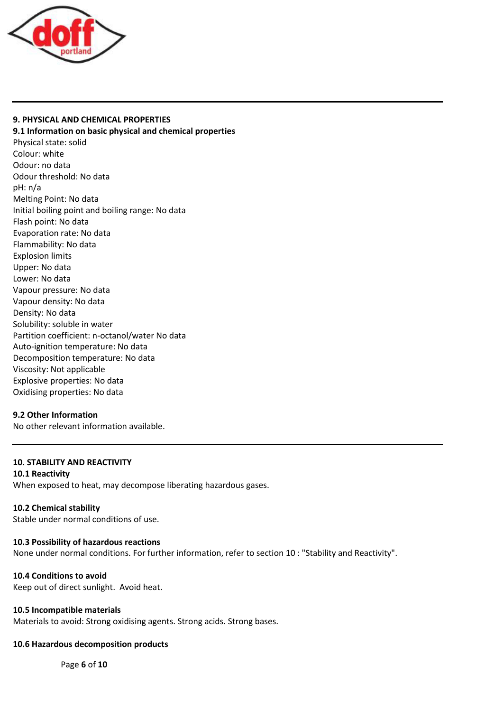

## **9. PHYSICAL AND CHEMICAL PROPERTIES**

**9.1 Information on basic physical and chemical properties** Physical state: solid Colour: white Odour: no data Odour threshold: No data pH: n/a Melting Point: No data Initial boiling point and boiling range: No data Flash point: No data Evaporation rate: No data Flammability: No data Explosion limits Upper: No data Lower: No data Vapour pressure: No data Vapour density: No data Density: No data Solubility: soluble in water Partition coefficient: n-octanol/water No data Auto-ignition temperature: No data Decomposition temperature: No data Viscosity: Not applicable Explosive properties: No data Oxidising properties: No data

# **9.2 Other Information**

No other relevant information available.

# **10. STABILITY AND REACTIVITY**

# **10.1 Reactivity**

When exposed to heat, may decompose liberating hazardous gases.

## **10.2 Chemical stability**

Stable under normal conditions of use.

## **10.3 Possibility of hazardous reactions**

None under normal conditions. For further information, refer to section 10 : "Stability and Reactivity".

## **10.4 Conditions to avoid**

Keep out of direct sunlight. Avoid heat.

## **10.5 Incompatible materials**

Materials to avoid: Strong oxidising agents. Strong acids. Strong bases.

## **10.6 Hazardous decomposition products**

Page **6** of **10**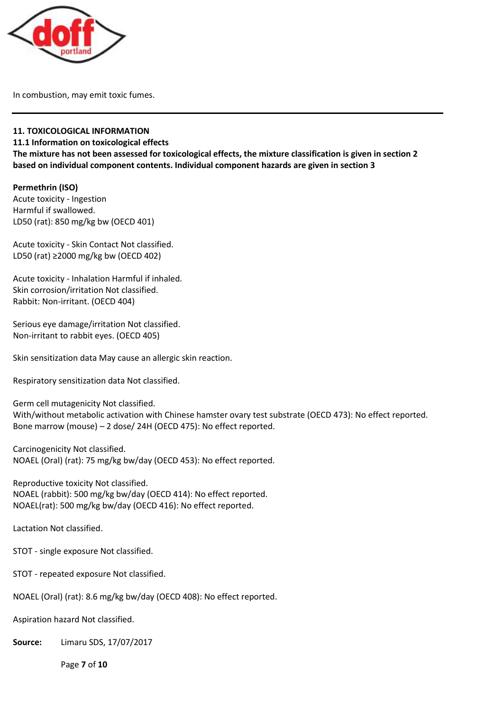

In combustion, may emit toxic fumes.

# **11. TOXICOLOGICAL INFORMATION**

**11.1 Information on toxicological effects**

**The mixture has not been assessed for toxicological effects, the mixture classification is given in section 2 based on individual component contents. Individual component hazards are given in section 3**

# **Permethrin (ISO)**

Acute toxicity - Ingestion Harmful if swallowed. LD50 (rat): 850 mg/kg bw (OECD 401)

Acute toxicity - Skin Contact Not classified. LD50 (rat) ≥2000 mg/kg bw (OECD 402)

Acute toxicity - Inhalation Harmful if inhaled. Skin corrosion/irritation Not classified. Rabbit: Non-irritant. (OECD 404)

Serious eye damage/irritation Not classified. Non-irritant to rabbit eyes. (OECD 405)

Skin sensitization data May cause an allergic skin reaction.

Respiratory sensitization data Not classified.

Germ cell mutagenicity Not classified. With/without metabolic activation with Chinese hamster ovary test substrate (OECD 473): No effect reported. Bone marrow (mouse) – 2 dose/ 24H (OECD 475): No effect reported.

Carcinogenicity Not classified. NOAEL (Oral) (rat): 75 mg/kg bw/day (OECD 453): No effect reported.

Reproductive toxicity Not classified. NOAEL (rabbit): 500 mg/kg bw/day (OECD 414): No effect reported. NOAEL(rat): 500 mg/kg bw/day (OECD 416): No effect reported.

Lactation Not classified.

STOT - single exposure Not classified.

STOT - repeated exposure Not classified.

NOAEL (Oral) (rat): 8.6 mg/kg bw/day (OECD 408): No effect reported.

Aspiration hazard Not classified.

**Source:** Limaru SDS, 17/07/2017

Page **7** of **10**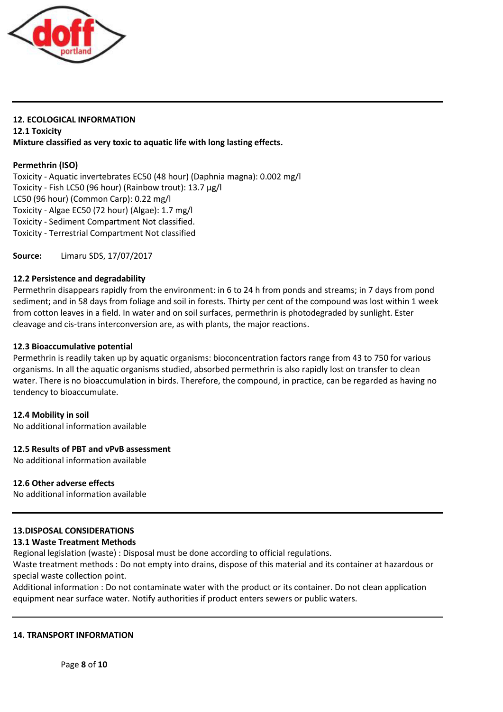

# **12. ECOLOGICAL INFORMATION 12.1 Toxicity Mixture classified as very toxic to aquatic life with long lasting effects.**

## **Permethrin (ISO)**

Toxicity - Aquatic invertebrates EC50 (48 hour) (Daphnia magna): 0.002 mg/l Toxicity - Fish LC50 (96 hour) (Rainbow trout): 13.7 µg/l LC50 (96 hour) (Common Carp): 0.22 mg/l Toxicity - Algae EC50 (72 hour) (Algae): 1.7 mg/l Toxicity - Sediment Compartment Not classified. Toxicity - Terrestrial Compartment Not classified

**Source:** Limaru SDS, 17/07/2017

## **12.2 Persistence and degradability**

Permethrin disappears rapidly from the environment: in 6 to 24 h from ponds and streams; in 7 days from pond sediment; and in 58 days from foliage and soil in forests. Thirty per cent of the compound was lost within 1 week from cotton leaves in a field. In water and on soil surfaces, permethrin is photodegraded by sunlight. Ester cleavage and cis-trans interconversion are, as with plants, the major reactions.

## **12.3 Bioaccumulative potential**

Permethrin is readily taken up by aquatic organisms: bioconcentration factors range from 43 to 750 for various organisms. In all the aquatic organisms studied, absorbed permethrin is also rapidly lost on transfer to clean water. There is no bioaccumulation in birds. Therefore, the compound, in practice, can be regarded as having no tendency to bioaccumulate.

## **12.4 Mobility in soil**

No additional information available

## **12.5 Results of PBT and vPvB assessment**

No additional information available

## **12.6 Other adverse effects**

No additional information available

# **13.DISPOSAL CONSIDERATIONS**

## **13.1 Waste Treatment Methods**

Regional legislation (waste) : Disposal must be done according to official regulations.

Waste treatment methods : Do not empty into drains, dispose of this material and its container at hazardous or special waste collection point.

Additional information : Do not contaminate water with the product or its container. Do not clean application equipment near surface water. Notify authorities if product enters sewers or public waters.

## **14. TRANSPORT INFORMATION**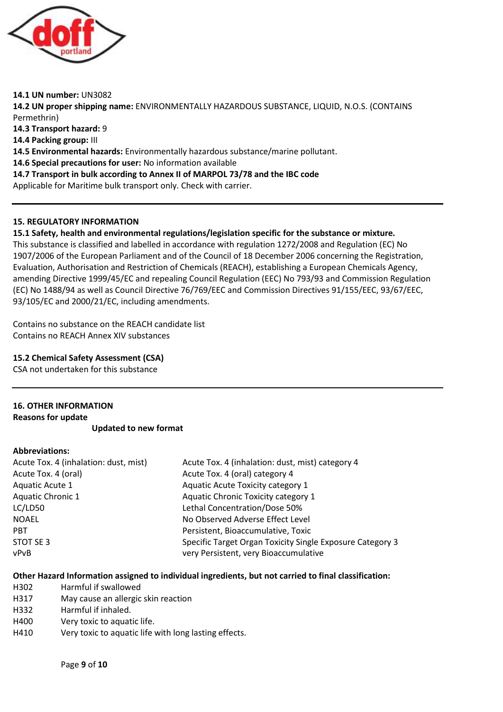

**14.1 UN number:** UN3082 **14.2 UN proper shipping name:** ENVIRONMENTALLY HAZARDOUS SUBSTANCE, LIQUID, N.O.S. (CONTAINS Permethrin) **14.3 Transport hazard:** 9 **14.4 Packing group:** III **14.5 Environmental hazards:** Environmentally hazardous substance/marine pollutant. **14.6 Special precautions for user:** No information available **14.7 Transport in bulk according to Annex II of MARPOL 73/78 and the IBC code** Applicable for Maritime bulk transport only. Check with carrier.

# **15. REGULATORY INFORMATION**

**15.1 Safety, health and environmental regulations/legislation specific for the substance or mixture.** This substance is classified and labelled in accordance with regulation 1272/2008 and Regulation (EC) No 1907/2006 of the European Parliament and of the Council of 18 December 2006 concerning the Registration, Evaluation, Authorisation and Restriction of Chemicals (REACH), establishing a European Chemicals Agency, amending Directive 1999/45/EC and repealing Council Regulation (EEC) No 793/93 and Commission Regulation (EC) No 1488/94 as well as Council Directive 76/769/EEC and Commission Directives 91/155/EEC, 93/67/EEC, 93/105/EC and 2000/21/EC, including amendments.

Contains no substance on the REACH candidate list Contains no REACH Annex XIV substances

# **15.2 Chemical Safety Assessment (CSA)**

CSA not undertaken for this substance

# **16. OTHER INFORMATION**

**Reasons for update**

**Updated to new format**

## **Abbreviations:**

| Acute Tox. 4 (inhalation: dust, mist) | Acute Tox. 4 (inhalation: dust, mist) category 4          |
|---------------------------------------|-----------------------------------------------------------|
| Acute Tox. 4 (oral)                   | Acute Tox. 4 (oral) category 4                            |
| Aquatic Acute 1                       | Aquatic Acute Toxicity category 1                         |
| <b>Aquatic Chronic 1</b>              | Aquatic Chronic Toxicity category 1                       |
| LC/LD50                               | Lethal Concentration/Dose 50%                             |
| <b>NOAEL</b>                          | No Observed Adverse Effect Level                          |
| <b>PBT</b>                            | Persistent, Bioaccumulative, Toxic                        |
| STOT SE 3                             | Specific Target Organ Toxicity Single Exposure Category 3 |
| vPvB                                  | very Persistent, very Bioaccumulative                     |

## **Other Hazard Information assigned to individual ingredients, but not carried to final classification:**

- H302 Harmful if swallowed
- H317 May cause an allergic skin reaction
- H332 Harmful if inhaled.
- H400 Very toxic to aquatic life.
- H410 Very toxic to aquatic life with long lasting effects.